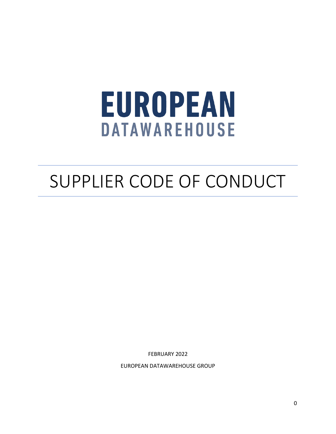# **EUROPEAN DATAWAREHOUSE**

# SUPPLIER CODE OF CONDUCT

FEBRUARY 2022

EUROPEAN DATAWAREHOUSE GROUP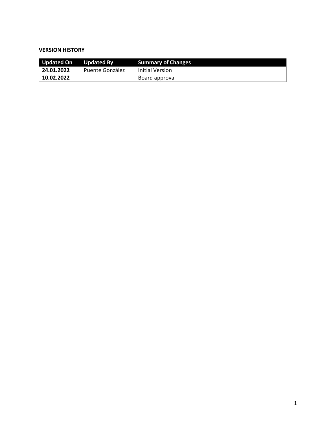#### **VERSION HISTORY**

| <b>Updated On</b> | <b>Updated By</b> | <b>Summary of Changes</b> |
|-------------------|-------------------|---------------------------|
| 24.01.2022        | Puente González   | Initial Version           |
| 10.02.2022        |                   | Board approval            |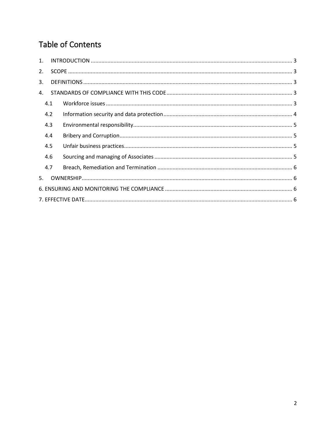# Table of Contents

| 1. |     |  |  |  |
|----|-----|--|--|--|
| 2. |     |  |  |  |
| 3. |     |  |  |  |
| 4. |     |  |  |  |
|    | 4.1 |  |  |  |
|    | 4.2 |  |  |  |
|    | 4.3 |  |  |  |
|    | 4.4 |  |  |  |
|    | 4.5 |  |  |  |
|    | 4.6 |  |  |  |
|    | 4.7 |  |  |  |
| 5. |     |  |  |  |
|    |     |  |  |  |
|    |     |  |  |  |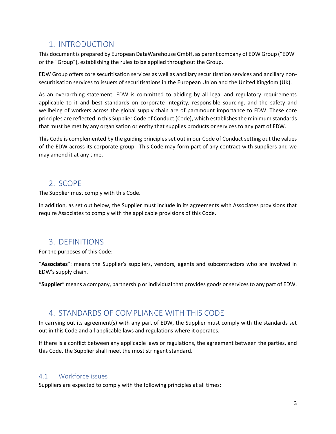# <span id="page-3-0"></span>1. INTRODUCTION

This document is prepared by European DataWarehouse GmbH, as parent company of EDW Group ("EDW" or the "Group"), establishing the rules to be applied throughout the Group.

EDW Group offers core securitisation services as well as ancillary securitisation services and ancillary nonsecuritisation services to issuers of securitisations in the European Union and the United Kingdom (UK).

As an overarching statement: EDW is committed to abiding by all legal and regulatory requirements applicable to it and best standards on corporate integrity, responsible sourcing, and the safety and wellbeing of workers across the global supply chain are of paramount importance to EDW. These core principles are reflected in this Supplier Code of Conduct (Code), which establishes the minimum standards that must be met by any organisation or entity that supplies products or services to any part of EDW.

This Code is complemented by the guiding principles set out in our Code of Conduct setting out the values of the EDW across its corporate group. This Code may form part of any contract with suppliers and we may amend it at any time.

# <span id="page-3-1"></span>2. SCOPE

The Supplier must comply with this Code.

In addition, as set out below, the Supplier must include in its agreements with Associates provisions that require Associates to comply with the applicable provisions of this Code.

# <span id="page-3-2"></span>3. DEFINITIONS

For the purposes of this Code:

"**Associates**": means the Supplier's suppliers, vendors, agents and subcontractors who are involved in EDW's supply chain.

"**Supplier**" means a company, partnership or individual that provides goods or services to any part of EDW.

# <span id="page-3-3"></span>4. STANDARDS OF COMPLIANCE WITH THIS CODE

In carrying out its agreement(s) with any part of EDW, the Supplier must comply with the standards set out in this Code and all applicable laws and regulations where it operates.

If there is a conflict between any applicable laws or regulations, the agreement between the parties, and this Code, the Supplier shall meet the most stringent standard.

#### <span id="page-3-4"></span>4.1 Workforce issues

Suppliers are expected to comply with the following principles at all times: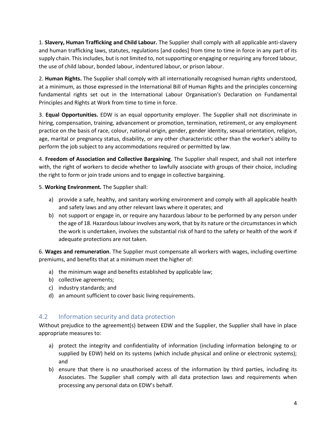1. **Slavery, Human Trafficking and Child Labour.** The Supplier shall comply with all applicable anti-slavery and human trafficking laws, statutes, regulations [and codes] from time to time in force in any part of its supply chain. This includes, but is not limited to, not supporting or engaging or requiring any forced labour, the use of child labour, bonded labour, indentured labour, or prison labour.

2. **Human Rights.** The Supplier shall comply with all internationally recognised human rights understood, at a minimum, as those expressed in the International Bill of Human Rights and the principles concerning fundamental rights set out in the International Labour Organisation's Declaration on Fundamental Principles and Rights at Work from time to time in force.

3. **Equal Opportunities.** EDW is an equal opportunity employer. The Supplier shall not discriminate in hiring, compensation, training, advancement or promotion, termination, retirement, or any employment practice on the basis of race, colour, national origin, gender, gender identity, sexual orientation, religion, age, marital or pregnancy status, disability, or any other characteristic other than the worker's ability to perform the job subject to any accommodations required or permitted by law.

4. **Freedom of Association and Collective Bargaining**. The Supplier shall respect, and shall not interfere with, the right of workers to decide whether to lawfully associate with groups of their choice, including the right to form or join trade unions and to engage in collective bargaining.

5. **Working Environment.** The Supplier shall:

- a) provide a safe, healthy, and sanitary working environment and comply with all applicable health and safety laws and any other relevant laws where it operates; and
- b) not support or engage in, or require any hazardous labour to be performed by any person under the age of 18. Hazardous labour involves any work, that by its nature or the circumstances in which the work is undertaken, involves the substantial risk of hard to the safety or health of the work if adequate protections are not taken.

6. **Wages and remuneration**. The Supplier must compensate all workers with wages, including overtime premiums, and benefits that at a minimum meet the higher of:

- a) the minimum wage and benefits established by applicable law;
- b) collective agreements;
- c) industry standards; and
- d) an amount sufficient to cover basic living requirements.

#### <span id="page-4-0"></span>4.2 Information security and data protection

Without prejudice to the agreement(s) between EDW and the Supplier, the Supplier shall have in place appropriate measures to:

- a) protect the integrity and confidentiality of information (including information belonging to or supplied by EDW) held on its systems (which include physical and online or electronic systems); and
- b) ensure that there is no unauthorised access of the information by third parties, including its Associates. The Supplier shall comply with all data protection laws and requirements when processing any personal data on EDW's behalf.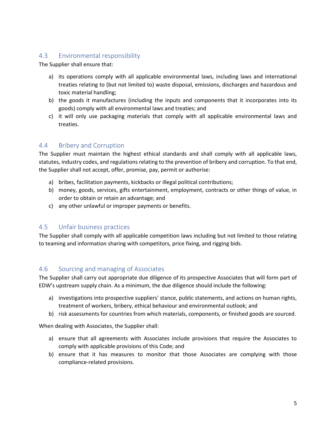#### <span id="page-5-0"></span>4.3 Environmental responsibility

The Supplier shall ensure that:

- a) its operations comply with all applicable environmental laws, including laws and international treaties relating to (but not limited to) waste disposal, emissions, discharges and hazardous and toxic material handling;
- b) the goods it manufactures (including the inputs and components that it incorporates into its goods) comply with all environmental laws and treaties; and
- c) it will only use packaging materials that comply with all applicable environmental laws and treaties.

#### <span id="page-5-1"></span>4.4 Bribery and Corruption

The Supplier must maintain the highest ethical standards and shall comply with all applicable laws, statutes, industry codes, and regulations relating to the prevention of bribery and corruption. To that end, the Supplier shall not accept, offer, promise, pay, permit or authorise:

- a) bribes, facilitation payments, kickbacks or illegal political contributions;
- b) money, goods, services, gifts entertainment, employment, contracts or other things of value, in order to obtain or retain an advantage; and
- c) any other unlawful or improper payments or benefits.

#### <span id="page-5-2"></span>4.5 Unfair business practices

The Supplier shall comply with all applicable competition laws including but not limited to those relating to teaming and information sharing with competitors, price fixing, and rigging bids.

#### <span id="page-5-3"></span>4.6 Sourcing and managing of Associates

The Supplier shall carry out appropriate due diligence of its prospective Associates that will form part of EDW's upstream supply chain. As a minimum, the due diligence should include the following:

- a) investigations into prospective suppliers' stance, public statements, and actions on human rights, treatment of workers, bribery, ethical behaviour and environmental outlook; and
- b) risk assessments for countries from which materials, components, or finished goods are sourced.

When dealing with Associates, the Supplier shall:

- a) ensure that all agreements with Associates include provisions that require the Associates to comply with applicable provisions of this Code; and
- b) ensure that it has measures to monitor that those Associates are complying with those compliance-related provisions.